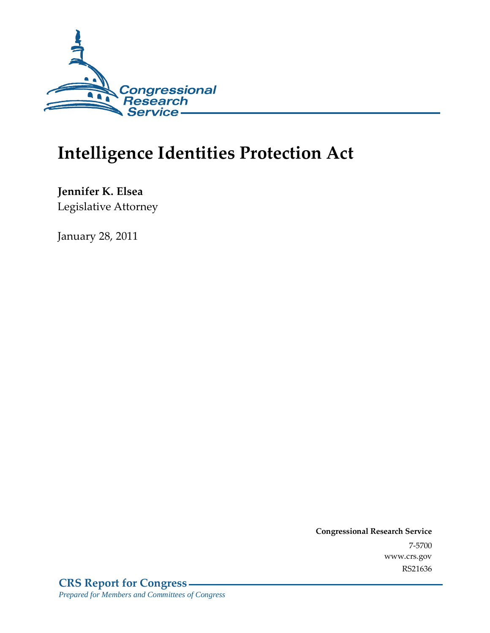

# **Intelligence Identities Protection Act**

**Jennifer K. Elsea**  Legislative Attorney

January 28, 2011

**Congressional Research Service** 7-5700 www.crs.gov RS21636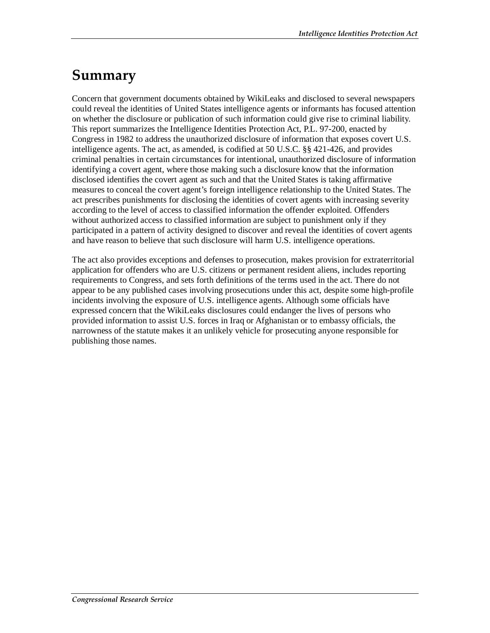## **Summary**

Concern that government documents obtained by WikiLeaks and disclosed to several newspapers could reveal the identities of United States intelligence agents or informants has focused attention on whether the disclosure or publication of such information could give rise to criminal liability. This report summarizes the Intelligence Identities Protection Act, P.L. 97-200, enacted by Congress in 1982 to address the unauthorized disclosure of information that exposes covert U.S. intelligence agents. The act, as amended, is codified at 50 U.S.C. §§ 421-426, and provides criminal penalties in certain circumstances for intentional, unauthorized disclosure of information identifying a covert agent, where those making such a disclosure know that the information disclosed identifies the covert agent as such and that the United States is taking affirmative measures to conceal the covert agent's foreign intelligence relationship to the United States. The act prescribes punishments for disclosing the identities of covert agents with increasing severity according to the level of access to classified information the offender exploited. Offenders without authorized access to classified information are subject to punishment only if they participated in a pattern of activity designed to discover and reveal the identities of covert agents and have reason to believe that such disclosure will harm U.S. intelligence operations.

The act also provides exceptions and defenses to prosecution, makes provision for extraterritorial application for offenders who are U.S. citizens or permanent resident aliens, includes reporting requirements to Congress, and sets forth definitions of the terms used in the act. There do not appear to be any published cases involving prosecutions under this act, despite some high-profile incidents involving the exposure of U.S. intelligence agents. Although some officials have expressed concern that the WikiLeaks disclosures could endanger the lives of persons who provided information to assist U.S. forces in Iraq or Afghanistan or to embassy officials, the narrowness of the statute makes it an unlikely vehicle for prosecuting anyone responsible for publishing those names.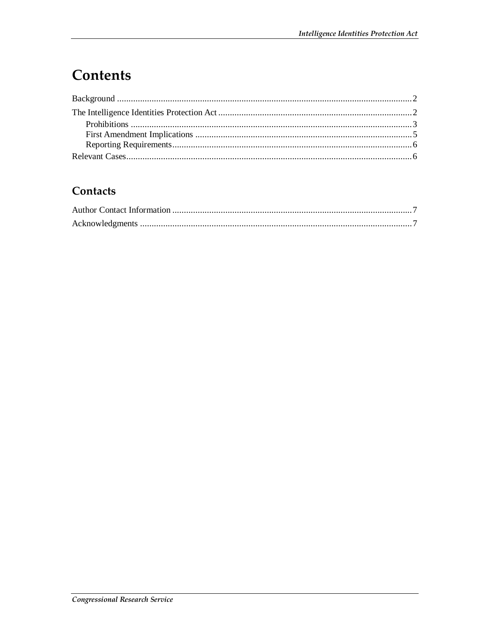## Contents

### Contacts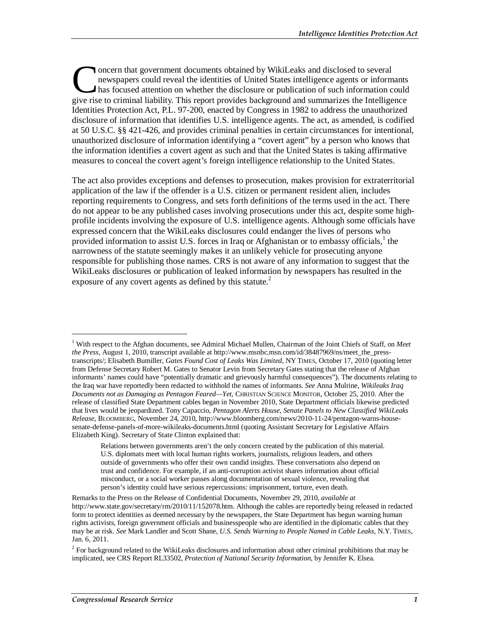oncern that government documents obtained by WikiLeaks and disclosed to several newspapers could reveal the identities of United States intelligence agents or informants has focused attention on whether the disclosure or publication of such information could The concern that government documents obtained by WikiLeaks and disclosed to several<br>newspapers could reveal the identities of United States intelligence agents or informants<br>has focused attention on whether the disclosure Identities Protection Act, P.L. 97-200, enacted by Congress in 1982 to address the unauthorized disclosure of information that identifies U.S. intelligence agents. The act, as amended, is codified at 50 U.S.C. §§ 421-426, and provides criminal penalties in certain circumstances for intentional, unauthorized disclosure of information identifying a "covert agent" by a person who knows that the information identifies a covert agent as such and that the United States is taking affirmative measures to conceal the covert agent's foreign intelligence relationship to the United States.

The act also provides exceptions and defenses to prosecution, makes provision for extraterritorial application of the law if the offender is a U.S. citizen or permanent resident alien, includes reporting requirements to Congress, and sets forth definitions of the terms used in the act. There do not appear to be any published cases involving prosecutions under this act, despite some highprofile incidents involving the exposure of U.S. intelligence agents. Although some officials have expressed concern that the WikiLeaks disclosures could endanger the lives of persons who provided information to assist U.S. forces in Iraq or Afghanistan or to embassy officials,<sup>1</sup> the narrowness of the statute seemingly makes it an unlikely vehicle for prosecuting anyone responsible for publishing those names. CRS is not aware of any information to suggest that the WikiLeaks disclosures or publication of leaked information by newspapers has resulted in the exposure of any covert agents as defined by this statute.<sup>2</sup>

<sup>&</sup>lt;sup>1</sup> With respect to the Afghan documents, see Admiral Michael Mullen, Chairman of the Joint Chiefs of Staff, on Meet *the Press*, August 1, 2010, transcript available at http://www.msnbc.msn.com/id/38487969/ns/meet\_the\_presstranscripts/; Elisabeth Bumiller, *Gates Found Cost of Leaks Was Limited*, NY TIMES, October 17, 2010 (quoting letter from Defense Secretary Robert M. Gates to Senator Levin from Secretary Gates stating that the release of Afghan informants' names could have "potentially dramatic and grievously harmful consequences"). The documents relating to the Iraq war have reportedly been redacted to withhold the names of informants. *See* Anna Mulrine, *Wikileaks Iraq Documents not as Damaging as Pentagon Feared—Yet*, CHRISTIAN SCIENCE MONITOR, October 25, 2010. After the release of classified State Department cables began in November 2010, State Department officials likewise predicted that lives would be jeopardized. Tony Capaccio, *Pentagon Alerts House, Senate Panels to New Classified WikiLeaks Release*, BLOOMBERG, November 24, 2010, http://www.bloomberg.com/news/2010-11-24/pentagon-warns-housesenate-defense-panels-of-more-wikileaks-documents.html (quoting Assistant Secretary for Legislative Affairs Elizabeth King). Secretary of State Clinton explained that:

Relations between governments aren't the only concern created by the publication of this material. U.S. diplomats meet with local human rights workers, journalists, religious leaders, and others outside of governments who offer their own candid insights. These conversations also depend on trust and confidence. For example, if an anti-corruption activist shares information about official misconduct, or a social worker passes along documentation of sexual violence, revealing that person's identity could have serious repercussions: imprisonment, torture, even death.

Remarks to the Press on the Release of Confidential Documents, November 29, 2010, *available at* http://www.state.gov/secretary/rm/2010/11/152078.htm. Although the cables are reportedly being released in redacted form to protect identities as deemed necessary by the newspapers, the State Department has begun warning human rights activists, foreign government officials and businesspeople who are identified in the diplomatic cables that they may be at risk. *See* Mark Landler and Scott Shane, *U.S. Sends Warning to People Named in Cable Leaks*, N.Y. TIMES, Jan. 6, 2011.

<sup>&</sup>lt;sup>2</sup> For background related to the WikiLeaks disclosures and information about other criminal prohibitions that may be implicated, see CRS Report RL33502, *Protection of National Security Information*, by Jennifer K. Elsea.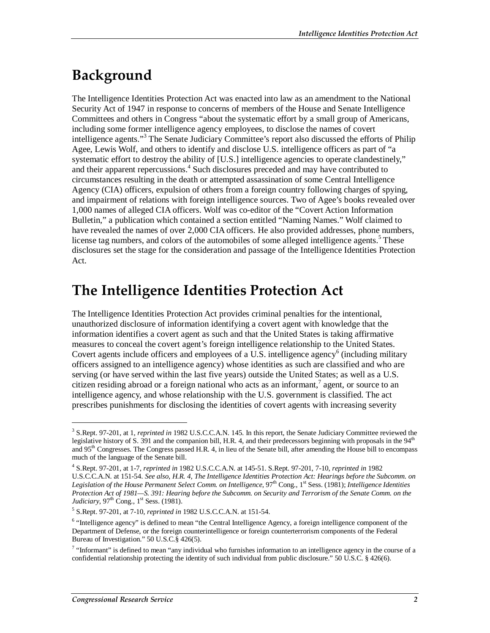## **Background**

The Intelligence Identities Protection Act was enacted into law as an amendment to the National Security Act of 1947 in response to concerns of members of the House and Senate Intelligence Committees and others in Congress "about the systematic effort by a small group of Americans, including some former intelligence agency employees, to disclose the names of covert intelligence agents."<sup>3</sup> The Senate Judiciary Committee's report also discussed the efforts of Philip Agee, Lewis Wolf, and others to identify and disclose U.S. intelligence officers as part of "a systematic effort to destroy the ability of [U.S.] intelligence agencies to operate clandestinely," and their apparent repercussions.<sup>4</sup> Such disclosures preceded and may have contributed to circumstances resulting in the death or attempted assassination of some Central Intelligence Agency (CIA) officers, expulsion of others from a foreign country following charges of spying, and impairment of relations with foreign intelligence sources. Two of Agee's books revealed over 1,000 names of alleged CIA officers. Wolf was co-editor of the "Covert Action Information Bulletin," a publication which contained a section entitled "Naming Names." Wolf claimed to have revealed the names of over 2,000 CIA officers. He also provided addresses, phone numbers, license tag numbers, and colors of the automobiles of some alleged intelligence agents.<sup>5</sup> These disclosures set the stage for the consideration and passage of the Intelligence Identities Protection Act.

## **The Intelligence Identities Protection Act**

The Intelligence Identities Protection Act provides criminal penalties for the intentional, unauthorized disclosure of information identifying a covert agent with knowledge that the information identifies a covert agent as such and that the United States is taking affirmative measures to conceal the covert agent's foreign intelligence relationship to the United States. Covert agents include officers and employees of a U.S. intelligence agency<sup>6</sup> (including military officers assigned to an intelligence agency) whose identities as such are classified and who are serving (or have served within the last five years) outside the United States; as well as a U.S. citizen residing abroad or a foreign national who acts as an informant, $^7$  agent, or source to an intelligence agency, and whose relationship with the U.S. government is classified. The act prescribes punishments for disclosing the identities of covert agents with increasing severity

<sup>3</sup> S.Rept. 97-201, at 1, *reprinted in* 1982 U.S.C.C.A.N*.* 145. In this report, the Senate Judiciary Committee reviewed the legislative history of S. 391 and the companion bill, H.R. 4, and their predecessors beginning with proposals in the  $94<sup>th</sup>$ and  $95<sup>th</sup>$  Congresses. The Congress passed H.R. 4, in lieu of the Senate bill, after amending the House bill to encompass much of the language of the Senate bill.

<sup>4</sup> S.Rept. 97-201, at 1-7, *reprinted in* 1982 U.S.C.C.A.N. at 145-51. S.Rept. 97-201, 7-10, *reprinted in* 1982 U.S.C.C.A.N*.* at 151-54. *See also*, *H.R. 4, The Intelligence Identities Protection Act: Hearings before the Subcomm. on Legislation of the House Permanent Select Comm. on Intelligence*, 97th Cong., 1st Sess. (1981); *Intelligence Identities Protection Act of 1981—S. 391: Hearing before the Subcomm. on Security and Terrorism of the Senate Comm. on the Judiciary*, 97<sup>th</sup> Cong., 1<sup>st</sup> Sess. (1981).

S.Rept. 97-201, at 7-10, *reprinted in* 1982 U.S.C.C.A.N. at 151-54.

<sup>&</sup>lt;sup>6</sup> "Intelligence agency" is defined to mean "the Central Intelligence Agency, a foreign intelligence component of the Department of Defense, or the foreign counterintelligence or foreign counterterrorism components of the Federal Bureau of Investigation." 50 U.S.C.§ 426(5).

<sup>&</sup>lt;sup>7</sup> "Informant" is defined to mean "any individual who furnishes information to an intelligence agency in the course of a confidential relationship protecting the identity of such individual from public disclosure." 50 U.S.C. § 426(6).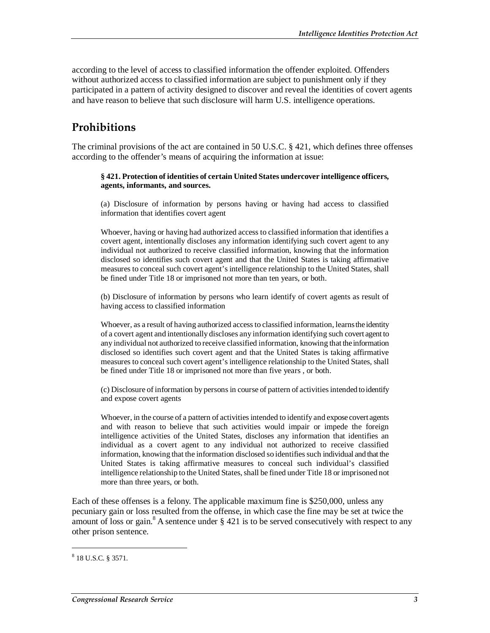according to the level of access to classified information the offender exploited. Offenders without authorized access to classified information are subject to punishment only if they participated in a pattern of activity designed to discover and reveal the identities of covert agents and have reason to believe that such disclosure will harm U.S. intelligence operations.

## **Prohibitions**

The criminal provisions of the act are contained in 50 U.S.C. § 421, which defines three offenses according to the offender's means of acquiring the information at issue:

#### **§ 421. Protection of identities of certain United States undercover intelligence officers, agents, informants, and sources.**

(a) Disclosure of information by persons having or having had access to classified information that identifies covert agent

Whoever, having or having had authorized access to classified information that identifies a covert agent, intentionally discloses any information identifying such covert agent to any individual not authorized to receive classified information, knowing that the information disclosed so identifies such covert agent and that the United States is taking affirmative measures to conceal such covert agent's intelligence relationship to the United States, shall be fined under Title 18 or imprisoned not more than ten years, or both.

(b) Disclosure of information by persons who learn identify of covert agents as result of having access to classified information

Whoever, as a result of having authorized access to classified information, learns the identity of a covert agent and intentionally discloses any information identifying such covert agent to any individual not authorized to receive classified information, knowing that the information disclosed so identifies such covert agent and that the United States is taking affirmative measures to conceal such covert agent's intelligence relationship to the United States, shall be fined under Title 18 or imprisoned not more than five years , or both.

(c) Disclosure of information by persons in course of pattern of activities intended to identify and expose covert agents

Whoever, in the course of a pattern of activities intended to identify and expose covert agents and with reason to believe that such activities would impair or impede the foreign intelligence activities of the United States, discloses any information that identifies an individual as a covert agent to any individual not authorized to receive classified information, knowing that the information disclosed so identifies such individual and that the United States is taking affirmative measures to conceal such individual's classified intelligence relationship to the United States, shall be fined under Title 18 or imprisoned not more than three years, or both.

Each of these offenses is a felony. The applicable maximum fine is \$250,000, unless any pecuniary gain or loss resulted from the offense, in which case the fine may be set at twice the amount of loss or gain.<sup>8</sup> A sentence under  $\S$  421 is to be served consecutively with respect to any other prison sentence.

<sup>8</sup> 18 U.S.C. § 3571.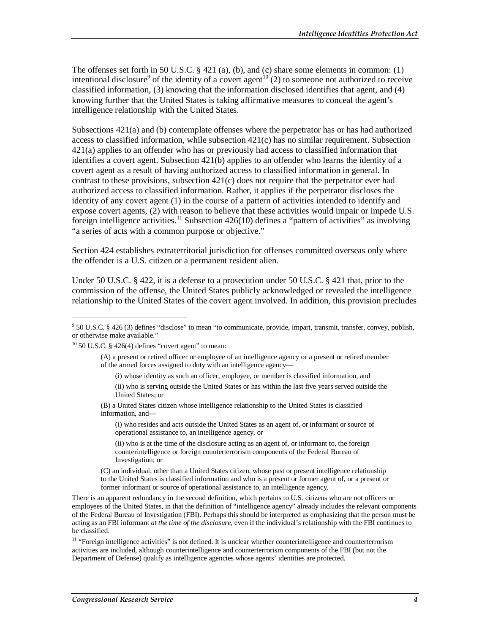The offenses set forth in 50 U.S.C.  $\S$  421 (a), (b), and (c) share some elements in common: (1) intentional disclosure<sup>9</sup> of the identity of a covert agent<sup>10</sup> (2) to someone not authorized to receive classified information, (3) knowing that the information disclosed identifies that agent, and (4) knowing further that the United States is taking affirmative measures to conceal the agent's intelligence relationship with the United States.

Subsections 421(a) and (b) contemplate offenses where the perpetrator has or has had authorized access to classified information, while subsection 421(c) has no similar requirement. Subsection 421(a) applies to an offender who has or previously had access to classified information that identifies a covert agent. Subsection 421(b) applies to an offender who learns the identity of a covert agent as a result of having authorized access to classified information in general. In contrast to these provisions, subsection 421(c) does not require that the perpetrator ever had authorized access to classified information. Rather, it applies if the perpetrator discloses the identity of any covert agent (1) in the course of a pattern of activities intended to identify and expose covert agents, (2) with reason to believe that these activities would impair or impede U.S. foreign intelligence activities.<sup>11</sup> Subsection  $426(10)$  defines a "pattern of activities" as involving "a series of acts with a common purpose or objective."

Section 424 establishes extraterritorial jurisdiction for offenses committed overseas only where the offender is a U.S. citizen or a permanent resident alien.

Under 50 U.S.C. § 422, it is a defense to a prosecution under 50 U.S.C. § 421 that, prior to the commission of the offense, the United States publicly acknowledged or revealed the intelligence relationship to the United States of the covert agent involved. In addition, this provision precludes

<u>.</u>

(A) a present or retired officer or employee of an intelligence agency or a present or retired member of the armed forces assigned to duty with an intelligence agency—

(i) whose identity as such an officer, employee, or member is classified information, and

(ii) who is serving outside the United States or has within the last five years served outside the United States; or

(B) a United States citizen whose intelligence relationship to the United States is classified information, and—

(i) who resides and acts outside the United States as an agent of, or informant or source of operational assistance to, an intelligence agency, or

(ii) who is at the time of the disclosure acting as an agent of, or informant to, the foreign counterintelligence or foreign counterterrorism components of the Federal Bureau of Investigation; or

(C) an individual, other than a United States citizen, whose past or present intelligence relationship to the United States is classified information and who is a present or former agent of, or a present or former informant or source of operational assistance to, an intelligence agency.

There is an apparent redundancy in the second definition, which pertains to U.S. citizens who are not officers or employees of the United States, in that the definition of "intelligence agency" already includes the relevant components of the Federal Bureau of Investigation (FBI). Perhaps this should be interpreted as emphasizing that the person must be acting as an FBI informant *at the time of the disclosure*, even if the individual's relationship with the FBI continues to be classified.

<sup>11</sup> "Foreign intelligence activities" is not defined. It is unclear whether counterintelligence and counterterrorism activities are included, although counterintelligence and counterterrorism components of the FBI (but not the Department of Defense) qualify as intelligence agencies whose agents' identities are protected.

 $9$  50 U.S.C. § 426 (3) defines "disclose" to mean "to communicate, provide, impart, transmit, transfer, convey, publish, or otherwise make available."

 $10$  50 U.S.C. § 426(4) defines "covert agent" to mean: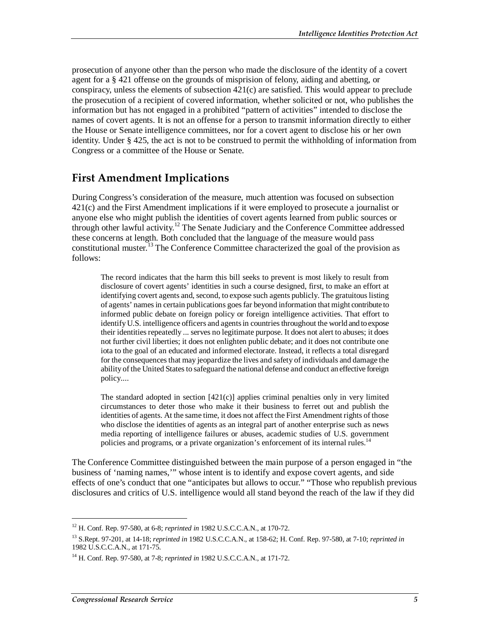prosecution of anyone other than the person who made the disclosure of the identity of a covert agent for a § 421 offense on the grounds of misprision of felony, aiding and abetting, or conspiracy, unless the elements of subsection 421(c) are satisfied. This would appear to preclude the prosecution of a recipient of covered information, whether solicited or not, who publishes the information but has not engaged in a prohibited "pattern of activities" intended to disclose the names of covert agents. It is not an offense for a person to transmit information directly to either the House or Senate intelligence committees, nor for a covert agent to disclose his or her own identity. Under § 425, the act is not to be construed to permit the withholding of information from Congress or a committee of the House or Senate.

### **First Amendment Implications**

During Congress's consideration of the measure, much attention was focused on subsection 421(c) and the First Amendment implications if it were employed to prosecute a journalist or anyone else who might publish the identities of covert agents learned from public sources or through other lawful activity.12 The Senate Judiciary and the Conference Committee addressed these concerns at length. Both concluded that the language of the measure would pass constitutional muster.<sup>13</sup> The Conference Committee characterized the goal of the provision as follows:

The record indicates that the harm this bill seeks to prevent is most likely to result from disclosure of covert agents' identities in such a course designed, first, to make an effort at identifying covert agents and, second, to expose such agents publicly. The gratuitous listing of agents' names in certain publications goes far beyond information that might contribute to informed public debate on foreign policy or foreign intelligence activities. That effort to identify U.S. intelligence officers and agents in countries throughout the world and to expose their identities repeatedly ... serves no legitimate purpose. It does not alert to abuses; it does not further civil liberties; it does not enlighten public debate; and it does not contribute one iota to the goal of an educated and informed electorate. Instead, it reflects a total disregard for the consequences that may jeopardize the lives and safety of individuals and damage the ability of the United States to safeguard the national defense and conduct an effective foreign policy....

The standard adopted in section  $[421(c)]$  applies criminal penalties only in very limited circumstances to deter those who make it their business to ferret out and publish the identities of agents. At the same time, it does not affect the First Amendment rights of those who disclose the identities of agents as an integral part of another enterprise such as news media reporting of intelligence failures or abuses, academic studies of U.S. government policies and programs, or a private organization's enforcement of its internal rules.<sup>14</sup>

The Conference Committee distinguished between the main purpose of a person engaged in "the business of 'naming names,'" whose intent is to identify and expose covert agents, and side effects of one's conduct that one "anticipates but allows to occur." "Those who republish previous disclosures and critics of U.S. intelligence would all stand beyond the reach of the law if they did

<sup>12</sup> H. Conf. Rep. 97-580, at 6-8; *reprinted in* 1982 U.S.C.C.A.N., at 170-72.

<sup>13</sup> S.Rept. 97-201, at 14-18; *reprinted in* 1982 U.S.C.C.A.N., at 158-62; H. Conf. Rep. 97-580, at 7-10; *reprinted in* 1982 U.S.C.C.A.N*.*, at 171-75.

<sup>14</sup> H. Conf. Rep. 97-580, at 7-8; *reprinted in* 1982 U.S.C.C.A.N., at 171-72.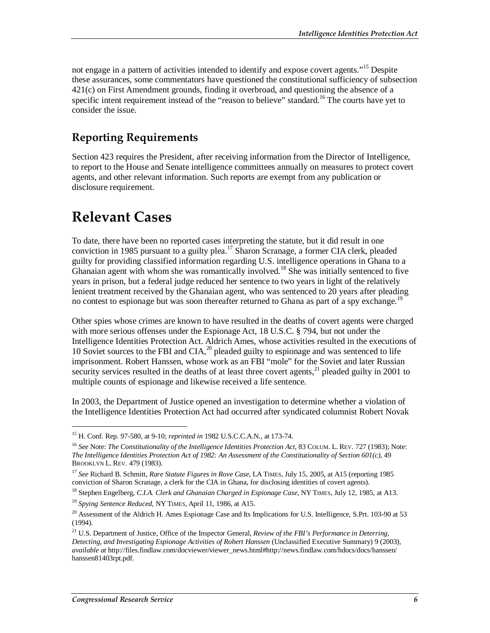not engage in a pattern of activities intended to identify and expose covert agents."<sup>15</sup> Despite these assurances, some commentators have questioned the constitutional sufficiency of subsection 421(c) on First Amendment grounds, finding it overbroad, and questioning the absence of a specific intent requirement instead of the "reason to believe" standard.<sup>16</sup> The courts have yet to consider the issue.

## **Reporting Requirements**

Section 423 requires the President, after receiving information from the Director of Intelligence, to report to the House and Senate intelligence committees annually on measures to protect covert agents, and other relevant information. Such reports are exempt from any publication or disclosure requirement.

## **Relevant Cases**

To date, there have been no reported cases interpreting the statute, but it did result in one conviction in 1985 pursuant to a guilty plea.<sup>17</sup> Sharon Scranage, a former CIA clerk, pleaded guilty for providing classified information regarding U.S. intelligence operations in Ghana to a Ghanaian agent with whom she was romantically involved.<sup>18</sup> She was initially sentenced to five years in prison, but a federal judge reduced her sentence to two years in light of the relatively lenient treatment received by the Ghanaian agent, who was sentenced to 20 years after pleading no contest to espionage but was soon thereafter returned to Ghana as part of a spy exchange.<sup>19</sup>

Other spies whose crimes are known to have resulted in the deaths of covert agents were charged with more serious offenses under the Espionage Act, 18 U.S.C. § 794, but not under the Intelligence Identities Protection Act. Aldrich Ames, whose activities resulted in the executions of 10 Soviet sources to the FBI and CIA,<sup>20</sup> pleaded guilty to espionage and was sentenced to life imprisonment. Robert Hanssen, whose work as an FBI "mole" for the Soviet and later Russian security services resulted in the deaths of at least three covert agents, $^{21}$  pleaded guilty in 2001 to multiple counts of espionage and likewise received a life sentence.

In 2003, the Department of Justice opened an investigation to determine whether a violation of the Intelligence Identities Protection Act had occurred after syndicated columnist Robert Novak

<sup>15</sup> H. Conf. Rep. 97-580, at 9-10; *reprinted in* 1982 U.S.C.C.A.N*.*, at 173-74.

<sup>&</sup>lt;sup>16</sup> See Note: The Constitutionality of the Intelligence Identities Protection Act, 83 COLUM. L. REV. 727 (1983); Note: *The Intelligence Identities Protection Act of 1982: An Assessment of the Constitutionality of Section 601(c)*, 49 BROOKLYN L. REV. 479 (1983).

<sup>17</sup> *See* Richard B. Schmitt, *Rare Statute Figures in Rove Case*, LA TIMES, July 15, 2005, at A15 (reporting 1985 conviction of Sharon Scranage, a clerk for the CIA in Ghana, for disclosing identities of covert agents).

<sup>18</sup> Stephen Engelberg, *C.I.A. Clerk and Ghanaian Charged in Espionage Case*, NY TIMES, July 12, 1985, at A13.

<sup>19</sup> *Spying Sentence Reduced*, NY TIMES, April 11, 1986, at A15.

<sup>&</sup>lt;sup>20</sup> Assessment of the Aldrich H. Ames Espionage Case and Its Implications for U.S. Intelligence, S.Prt. 103-90 at 53 (1994).

<sup>&</sup>lt;sup>21</sup> U.S. Department of Justice, Office of the Inspector General, *Review of the FBI's Performance in Deterring*, *Detecting, and Investigating Espionage Activities of Robert Hanssen* (Unclassified Executive Summary) 9 (2003), *available at* http://files.findlaw.com/docviewer/viewer\_news.html#http://news.findlaw.com/hdocs/docs/hanssen/ hanssen81403rpt.pdf.